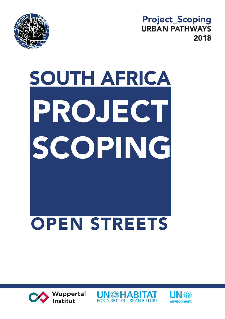

Project\_Scoping URBAN PATHWAYS 2018

## SOUTH AFRICA PROJECT SCOPING OPEN STREETS





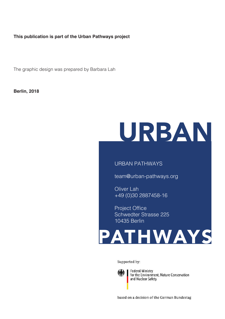#### **This publication is part of the Urban Pathways project**

The graphic design was prepared by Barbara Lah

**Berlin, 2018**

## URBAN

#### URBAN PATHWAYS

team@urban-pathways.org

**Oliver** Lah +49 (0)30 2887458-16

Project Office Schwedter Strasse 225 10435 Berlin



Supported by:



Federal Ministry<br>for the Environment, Nature Conservation and Nuclear Safety

based on a decision of the German Bundestag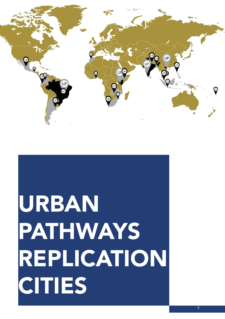# URBAN PATHWAYS REPLICATION CITIES

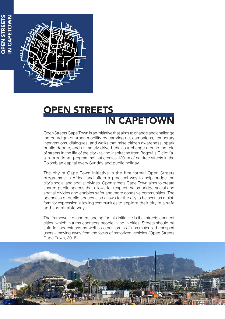OPEN STREETS **OPEN STREETS** IN CAPETOWN IN CAPETOWN



### OPEN STREETS IN CAPETOWN

Open Streets Cape Town is an initiative that aims to change and challenge the paradigm of urban mobility by carrying out campaigns, temporary interventions, dialogues, and walks that raise citizen awareness, spark public debate, and ultimately drive behaviour change around the role of streets in the life of the city - taking inspiration from Bogotá's Ciclovía, a recreational programme that creates 120km of car-free streets in the Colombian capital every Sunday and public holiday.

The city of Cape Town initiative is the first formal Open Streets programme in Africa, and offers a practical way to help bridge the city's social and spatial divides. Open streets Cape Town aims to create shared public spaces that allows for respect, helps bridge social and spatial divides and enables safer and more cohesive communities. The openness of public spaces also allows for the city to be seen as a platform for expression, allowing communities to explore their city in a safe and sustainable way.

The framework of understanding for this initiative is that streets connect cities, which in turns connects people living in cities. Streets should be safe for pedestrians as well as other forms of non-motorized transport users – moving away from the focus of motorized vehicles (Open Streets Cape Town, 2018).

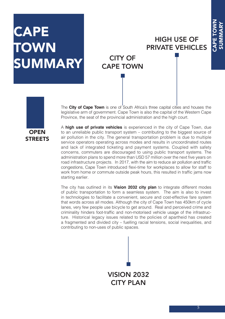## CAPE **TOWN** SUMMARY

#### HIGH USE OF PRIVATE VEHICLES

#### CITY OF CAPE TOWN



The **City of Cape Town** is one of South Africa's three capital cities and houses the legislative arm of government. Cape Town is also the capital of the Western Cape Province, the seat of the provincial administration and the high court.

A **high use of private vehicles** is experienced in the city of Cape Town, due to an unreliable public transport system – contributing to the biggest source of air pollution in the city. The general transportation problem is due to multiple service operators operating across modes and results in uncoordinated routes and lack of integrated ticketing and payment systems. Coupled with safety concerns, commuters are discouraged to using public transport systems. The administration plans to spend more than USD 57 million over the next five years on road infrastructure projects. In 2017, with the aim to reduce air pollution and traffic congestions, Cape Town introduced flexi-time for workplaces to allow for staff to work from home or commute outside peak hours, this resulted in traffic jams now starting earlier.

The city has outlined in its **Vision 2032 city plan** to integrate different modes of public transportation to form a seamless system. The aim is also to invest in technologies to facilitate a convenient, secure and cost-effective fare system that words across all modes. Although the city of Cape Town has 450km of cycle lanes, very few people use bicycle to get around. Real and perceived crime and criminality hinders foot-traffic and non-motorised vehicle usage of the infrastructure. Historical legacy issues related to the policies of apartheid has created a fragmented and divided city – fuelling racial tensions, social inequalities, and contributing to non-uses of public spaces.

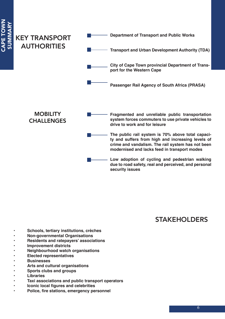

#### STAKEHOLDERS

- **• Schools, tertiary institutions, crèches**
- **• Non-governmental Organisations**
- **• Residents and ratepayers' associations**
- **• Improvement districts**
- **• Neighbourhood watch organisations**
- **• Elected representatives**
- **• Businesses**
- **• Arts and cultural organisations**
- **• Sports clubs and groups**
- **• Libraries**
- **• Taxi associations and public transport operators**
- **• Iconic local figures and celebrities**
- **• Police, fire stations, emergency personnel**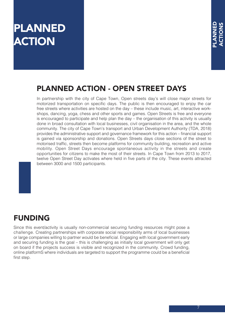## PLANNED **ACTION**

#### PLANNED ACTION - OPEN STREET DAYS

In partnership with the city of Cape Town, Open streets day's will close major streets for motorized transportation on specific days. The public is then encouraged to enjoy the car free streets where activities are hosted on the day – these include music, art, interactive workshops, dancing, yoga, chess and other sports and games. Open Streets is free and everyone is encouraged to participate and help plan the day – the organisation of this activity is usually done in broad consultation with local businesses, civil organisation in the area, and the whole community. The city of Cape Town's transport and Urban Development Authority (TDA, 2018) provides the administrative support and governance framework for this action – financial support is gained via sponsorship and donations. Open Streets days close sections of the street to motorised traffic, streets then become platforms for community building, recreation and active mobility. Open Street Days encourage spontaneous activity in the streets and create opportunities for citizens to make the most of their streets. In Cape Town from 2013 to 2017, twelve Open Street Day activates where held in five parts of the city. These events attracted between 3000 and 1500 participants.

#### FUNDING

Since this event/activity is usually non-commercial securing funding resources might pose a challenge. Creating partnerships with corporate social responsibility arms of local businesses or large companies willing to partner would be beneficial. Engaging with local government early and securing funding is the goal – this is challenging as initially local government will only get on board if the projects success is visible and recognized in the community. Crowd funding, online platformS where individuals are targeted to support the programme could be a beneficial first step.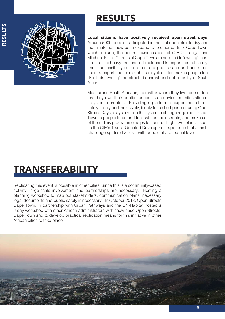

### RESULTS

**Local citizens have positively received open street days.**  Around 5000 people participated in the first open streets day and the initiate has now been expanded to other parts of Cape Town, which include, the central business district (CBD), Langa, and Mitchells Plain. Citizens of Cape Town are not used to 'owning' there streets. The heavy presence of motorised transport, fear of safety, and inaccessibility of the streets to pedestrians and non-motorised transports options such as bicycles often makes people feel like their 'owning' the streets is unreal and not a reality of South Africa.

Most urban South Africans, no matter where they live, do not feel that they own their public spaces, is an obvious manifestation of a systemic problem. Providing a platform to experience streets safely, freely and inclusively, if only for a short period during Open Streets Days, plays a role in the systemic change required in Cape Town to people to be and feel safe on their streets, and make use of them. This programme helps to connect high-level plans – such as the City's Transit Oriented Development approach that aims to challenge spatial divides – with people at a personal level.

## TRANSFERABILITY

Replicating this event is possible in other cities. Since this is a community-based activity, large-scale involvement and partnerships are necessary. Hosting a planning workshop to map out stakeholders, communication plans, necessary legal documents and public safety is necessary. In October 2018, Open Streets Cape Town, in partnership with Urban Pathways and the UN-Habitat hosted a 6 day workshop with other African administrators with show case Open Streets, Cape Town and to develop practical replication means for this initiative in other African cities to take place.

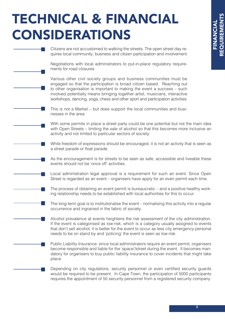## TECHNICAL & FINANCIAL CONSIDERATIONS

| Citizens are not accustomed to walking the streets. The open street day re-<br>quires local community, business and citizen participation and involvement                                                                                                                                                                                                                               |  |
|-----------------------------------------------------------------------------------------------------------------------------------------------------------------------------------------------------------------------------------------------------------------------------------------------------------------------------------------------------------------------------------------|--|
| Negotiations with local administrators to put-in-place regulatory require-<br>ments for road closures                                                                                                                                                                                                                                                                                   |  |
| Various other civil society groups and business communities must be<br>engaged so that the participation is broad citizen based. Reaching out<br>to other organisation is important to making the event a success – such<br>involved potentially means bringing together artist, musicians, interactive<br>workshops, dancing, yoga, chess and other sport and participation activities |  |
| This is not a Market – but does support the local communities and busi-<br>nesses in the area                                                                                                                                                                                                                                                                                           |  |
| With some permits in place a street party could be one potential but not the main idea<br>with Open Streets – limiting the sale of alcohol so that this becomes more inclusive an<br>activity and not limited to particular sectors of society.                                                                                                                                         |  |
| While freedom of expressions should be encouraged, it is not an activity that is seen as<br>a street parade or float parade.                                                                                                                                                                                                                                                            |  |
| As the encouragement is for streets to be seen as safe, accessible and liveable these<br>events should not be 'once off' activities.                                                                                                                                                                                                                                                    |  |
| Local administration legal approval is a requirement for such an event. Since Open<br>Street is regarded as an event – organisers have apply for an even permit each time.                                                                                                                                                                                                              |  |
| The process of obtaining an event permit is bureaucratic – and a positive healthy work-<br>ing relationship needs to be established with local authorities for this to occur.                                                                                                                                                                                                           |  |
| The long-term goal is to institutionalise the event – normalising this activity into a regular<br>occurrence and ingrained in the fabric of society.                                                                                                                                                                                                                                    |  |
| Alcohol prevalence at events heightens the risk assessment of the city administration.<br>If the event is categorised as low-risk, which is a category usually assigned to events<br>that don't sell alcohol, it is better for the event to occur as less city emergency personal<br>needs to be on stand by and 'policing' the event is seen as low-risk.                              |  |
| Public Liability Insurance: since local administrators require an event permit, organisers<br>become responsible and liable for the 'space'/street during the event. It becomes man-<br>datory for organisers to buy public liability insurance to cover incidents that might take<br>place.                                                                                            |  |
| Depending on city regulations, security personnel or even certified security guards<br>would be required to be present. In Cape Town, the participation of 5000 participants<br>requires the appointment of 50 security personnel from a registered security company.                                                                                                                   |  |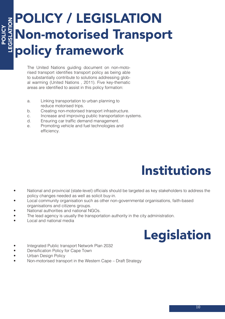#### POLICY / LEGISLATION EGISLATION LEGISLATION Non-motorised Transport policy framework

The United Nations guiding document on non-motorised transport identifies transport policy as being able to substantially contribute to solutions addressing global warming (United Nations , 2011). Five key-thematic areas are identified to assist in this policy formation:

- a. Linking transportation to urban planning to reduce motorised trips.
- b. Creating non-motorised transport infrastructure.
- c. Increase and improving public transportation systems.
- d. Ensuring car traffic demand management.
- e. Promoting vehicle and fuel technologies and efficiency.



- National and provincial (state-level) officials should be targeted as key stakeholders to address the policy changes needed as well as solicit buy-in.
- Local community organisation such as other non-governmental organisations, faith-based organisations and citizens groups.
- National authorities and national NGOs.
- The lead agency is usually the transportation authority in the city administration.
- Local and national media

POLICY

## Legislation

- Integrated Public transport Network Plan 2032
- Densification Policy for Cape Town
- Urban Design Policy
- Non-motorised transport in the Western Cape Draft Strategy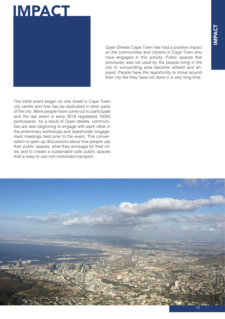

Open Streets Cape Town has had a positive impact on the communities and citizens in Cape Town who have engaged in this activity. Public spaces that previously was not used by the people living in the city or surrounding area become utilised and enjoyed. People have the opportunity to move around their city like they have not done in a very long time.

The initial event began on one street in Cape Town city centre and now has be replicated in other parts of the city. More people have come out to participate and the last event in early 2018 registered 15000 participants. As a result of Open streets, communities are also beginning to engage with each other in the preliminary workshops and stakeholder engagement meetings held prior to the event. This conversation is open up discussions about how people use their public spaces, what they envisage for their cities and to create a sustainable safe public spaces that is easy to use non-motorised transport.